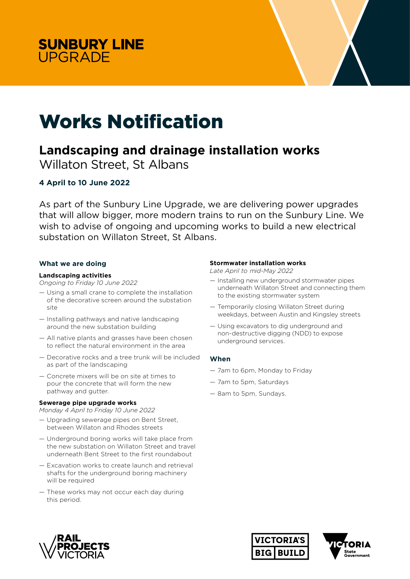



# Works Notification

## **Landscaping and drainage installation works**

Willaton Street, St Albans

### **4 April to 10 June 2022**

As part of the Sunbury Line Upgrade, we are delivering power upgrades that will allow bigger, more modern trains to run on the Sunbury Line. We wish to advise of ongoing and upcoming works to build a new electrical substation on Willaton Street, St Albans.

#### **What we are doing**

#### **Landscaping activities**

*Ongoing to Friday 10 June 2022* 

- Using a small crane to complete the installation of the decorative screen around the substation site
- Installing pathways and native landscaping around the new substation building
- All native plants and grasses have been chosen to reflect the natural environment in the area
- Decorative rocks and a tree trunk will be included as part of the landscaping
- Concrete mixers will be on site at times to pour the concrete that will form the new pathway and gutter.

#### **Sewerage pipe upgrade works**

*Monday 4 April to Friday 10 June 2022*

- Upgrading sewerage pipes on Bent Street, between Willaton and Rhodes streets
- Underground boring works will take place from the new substation on Willaton Street and travel underneath Bent Street to the first roundabout
- Excavation works to create launch and retrieval shafts for the underground boring machinery will be required
- These works may not occur each day during this period.

#### **Stormwater installation works**

*Late April to* m*id-May 2022* 

- Installing new underground stormwater pipes underneath Willaton Street and connecting them to the existing stormwater system
- Temporarily closing Willaton Street during weekdays, between Austin and Kingsley streets
- Using excavators to dig underground and non-destructive digging (NDD) to expose underground services.

#### **When**

- 7am to 6pm, Monday to Friday
- 7am to 5pm, Saturdays
- 8am to 5pm, Sundays.